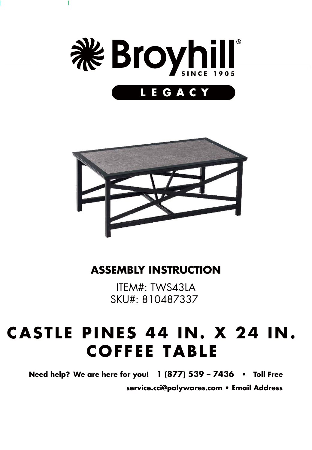

 $\overline{\phantom{a}}$ 



#### **ASSEMBLY INSTRUCTION**

ITEM#: TWS43LA SKU#: 810487337

# **CASTLE PINES 44 IN. X 24 IN. COFFEE TABLE**

**Need help? We are here for you! 1 (877) 539 – 7436 • Toll Free service.cci@polywares.com • Email Address**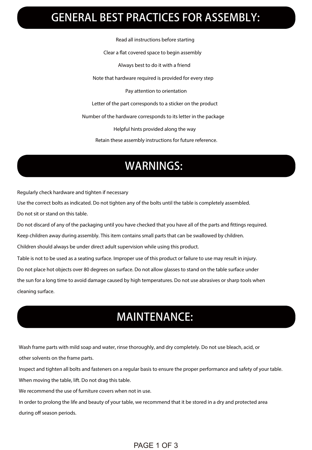## GENERAL BEST PRACTICES FOR ASSEMBLY:

Read all instructions before starting Clear a flat covered space to begin assembly Always best to do it with a friend

Note that hardware required is provided for every step

Pay attention to orientation

Letter of the part corresponds to a sticker on the product

Number of the hardware corresponds to its letter in the package

Helpful hints provided along the way

Retain these assembly instructions for future reference.

# WARNINGS:

Regularly check hardware and tighten if necessary

Use the correct bolts as indicated. Do not tighten any of the bolts until the table is completely assembled. Do not sit or stand on this table.

Do not discard of any of the packaging until you have checked that you have all of the parts and fittings required.

Keep children away during assembly. This item contains small parts that can be swallowed by children.

Children should always be under direct adult supervision while using this product.

Table is not to be used as a seating surface. Improper use of this product or failure to use may result in injury.

Do not place hot objects over 80 degrees on surface. Do not allow glasses to stand on the table surface under

the sun for a long time to avoid damage caused by high temperatures. Do not use abrasives or sharp tools when cleaning surface.

### MAINTENANCE:

Wash frame parts with mild soap and water, rinse thoroughly, and dry completely. Do not use bleach, acid, or other solvents on the frame parts.

Inspect and tighten all bolts and fasteners on a regular basis to ensure the proper performance and safety of your table. When moving the table, lift. Do not drag this table.

We recommend the use of furniture covers when not in use.

In order to prolong the life and beauty of your table, we recommend that it be stored in a dry and protected area during off season periods.

#### PAGE 1 OF 3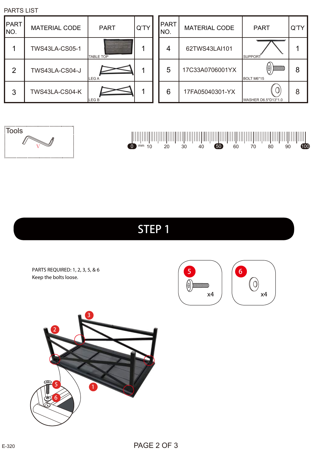

PARTS REQUIRED: 1, 2, 3, 5, & 6 Keep the bolts loose.



# STEP 1

| ∦ |  |  |
|---|--|--|
|   |  |  |
|   |  |  |
|   |  |  |
|   |  |  |



| PARIS LIST     |                      |                  |      |               |                      |                                    |    |
|----------------|----------------------|------------------|------|---------------|----------------------|------------------------------------|----|
| PART<br>INO.   | <b>MATERIAL CODE</b> | <b>PART</b>      | Q'TY | PART <br>INO. | <b>MATERIAL CODE</b> | <b>PART</b>                        | Q' |
|                | TWS43LA-CS05-1       | <b>TABLE TOP</b> |      | 4             | 62TWS43LAI101        | <b>SUPPORT</b>                     |    |
| $\overline{2}$ | TWS43LA-CS04-J       | LEG A            |      | 5             | 17C33A0706001YX      | (0)<br>$\frac{1}{2}$<br>BOLT M6*15 | 8  |
| 3              | TWS43LA-CS04-K       | LEG <sub>B</sub> |      | 6             | 17FA05040301-YX      | 0<br>WASHER D6.5*D13*1.0           | 8  |

| PART<br>NO. | <b>MATERIAL CODE</b> | <b>PART</b>                                           | Q'TY |
|-------------|----------------------|-------------------------------------------------------|------|
|             | 62TWS43LAI101        | <b>SUPPORT</b>                                        |      |
| 5           | 17C33A0706001YX      | <u> 1111111111111111111111111111111</u><br>BOLT M6*15 | 8    |
| 6           | 17FA05040301-YX      | WASHER D6.5*D13*1.0                                   | 8    |

PARTS LIST

Tools

Ⅴ

<u>i........................</u>